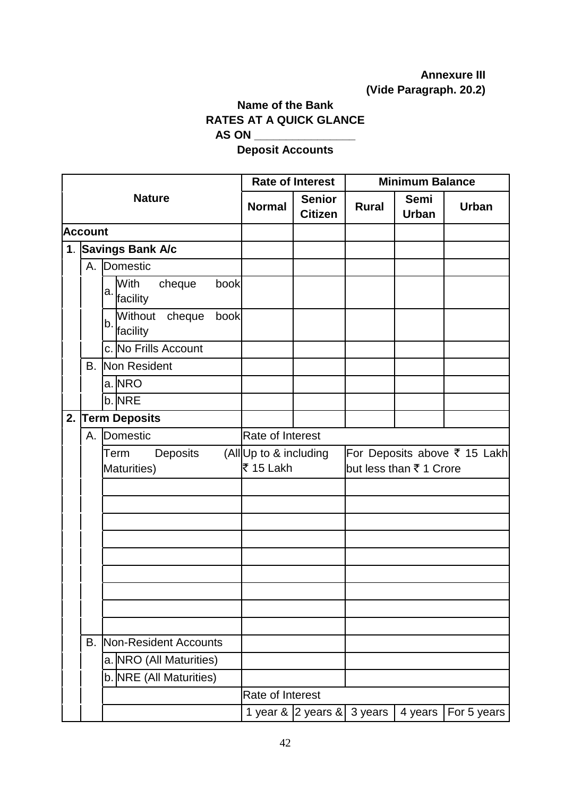## **Annexure III (Vide Paragraph. 20.2)**

## **Name of the Bank RATES AT A QUICK GLANCE AS ON \_\_\_\_\_\_\_\_\_\_\_\_\_\_\_\_**

## **Deposit Accounts**

|    |                |                                          |                                                                                               | <b>Rate of Interest</b>         | <b>Minimum Balance</b> |                      |              |  |
|----|----------------|------------------------------------------|-----------------------------------------------------------------------------------------------|---------------------------------|------------------------|----------------------|--------------|--|
|    |                | <b>Nature</b>                            | <b>Normal</b>                                                                                 | <b>Senior</b><br><b>Citizen</b> | <b>Rural</b>           | Semi<br><b>Urban</b> | <b>Urban</b> |  |
|    | <b>Account</b> |                                          |                                                                                               |                                 |                        |                      |              |  |
|    |                | 1. Savings Bank A/c                      |                                                                                               |                                 |                        |                      |              |  |
|    |                | A. Domestic                              |                                                                                               |                                 |                        |                      |              |  |
|    |                | With<br>cheque<br>book<br>a.<br>facility |                                                                                               |                                 |                        |                      |              |  |
|    |                | Without cheque<br>book<br>b.<br>facility |                                                                                               |                                 |                        |                      |              |  |
|    |                | c. No Frills Account                     |                                                                                               |                                 |                        |                      |              |  |
|    |                | <b>B.</b> Non Resident                   |                                                                                               |                                 |                        |                      |              |  |
|    |                | $a$ . NRO                                |                                                                                               |                                 |                        |                      |              |  |
|    |                | b. NRE                                   |                                                                                               |                                 |                        |                      |              |  |
| 2. |                | <b>Term Deposits</b>                     |                                                                                               |                                 |                        |                      |              |  |
|    |                | A. Domestic                              | Rate of Interest                                                                              |                                 |                        |                      |              |  |
|    |                | Deposits<br>Term<br>Maturities)          | For Deposits above ₹ 15 Lakh<br>(All Up to & including<br>₹ 15 Lakh<br>but less than ₹1 Crore |                                 |                        |                      |              |  |
|    |                |                                          |                                                                                               |                                 |                        |                      |              |  |
|    |                |                                          |                                                                                               |                                 |                        |                      |              |  |
|    |                |                                          |                                                                                               |                                 |                        |                      |              |  |
|    |                |                                          |                                                                                               |                                 |                        |                      |              |  |
|    |                |                                          |                                                                                               |                                 |                        |                      |              |  |
|    |                |                                          |                                                                                               |                                 |                        |                      |              |  |
|    |                |                                          |                                                                                               |                                 |                        |                      |              |  |
|    |                |                                          |                                                                                               |                                 |                        |                      |              |  |
|    |                |                                          |                                                                                               |                                 |                        |                      |              |  |
|    | B.             | Non-Resident Accounts                    |                                                                                               |                                 |                        |                      |              |  |
|    |                | a. NRO (All Maturities)                  |                                                                                               |                                 |                        |                      |              |  |
|    |                | b. NRE (All Maturities)                  |                                                                                               |                                 |                        |                      |              |  |
|    |                |                                          | <b>Rate of Interest</b>                                                                       |                                 |                        |                      |              |  |
|    |                |                                          |                                                                                               | 1 year & 2 years &              | 3 years                | 4 years              | For 5 years  |  |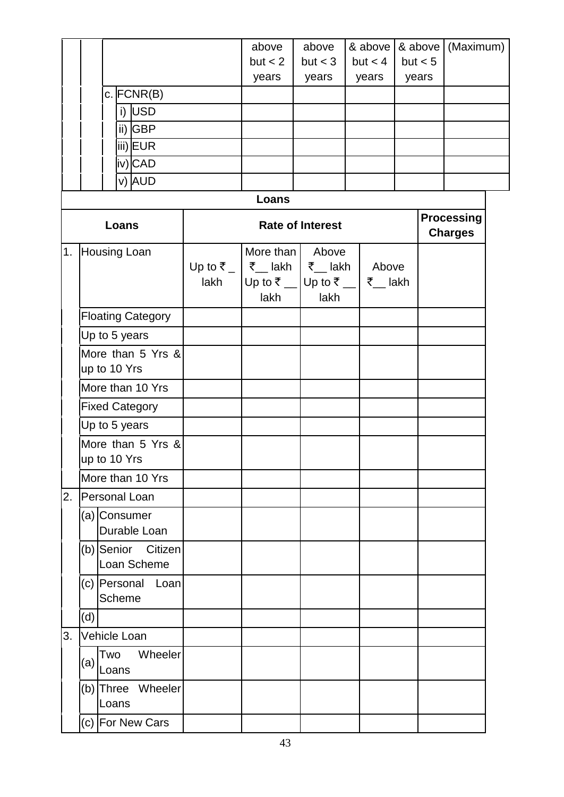|                                                    |                  |                                    |                         | above<br>but < 2<br>years                       | above<br>but < 3<br>years |       | & above<br>but < 4<br>years |  | & above<br>but < 5<br>years         | (Maximum) |  |
|----------------------------------------------------|------------------|------------------------------------|-------------------------|-------------------------------------------------|---------------------------|-------|-----------------------------|--|-------------------------------------|-----------|--|
|                                                    |                  | $c.$ FCNR(B)                       |                         |                                                 |                           |       |                             |  |                                     |           |  |
|                                                    |                  | i) USD                             |                         |                                                 |                           |       |                             |  |                                     |           |  |
|                                                    |                  | ii) GBP                            |                         |                                                 |                           |       |                             |  |                                     |           |  |
|                                                    |                  | iii)EUR                            |                         |                                                 |                           |       |                             |  |                                     |           |  |
|                                                    |                  | iv) CAD                            |                         |                                                 |                           |       |                             |  |                                     |           |  |
|                                                    |                  | v) AUD                             |                         |                                                 |                           |       |                             |  |                                     |           |  |
|                                                    |                  |                                    |                         | Loans                                           |                           |       |                             |  |                                     |           |  |
|                                                    |                  | Loans                              | <b>Rate of Interest</b> |                                                 |                           |       |                             |  | <b>Processing</b><br><b>Charges</b> |           |  |
|                                                    |                  | 1. Housing Loan                    |                         | More than                                       |                           | Above |                             |  |                                     |           |  |
|                                                    |                  |                                    |                         | Up to ₹ _   ₹ _ lakh   ₹ _ lakh<br>Above        |                           |       |                             |  |                                     |           |  |
|                                                    |                  |                                    | lakh                    | Up to ₹ _ Up to ₹ _<br>₹__ lakh<br>lakh<br>lakh |                           |       |                             |  |                                     |           |  |
|                                                    |                  |                                    |                         |                                                 |                           |       |                             |  |                                     |           |  |
|                                                    |                  | <b>Floating Category</b>           |                         |                                                 |                           |       |                             |  |                                     |           |  |
|                                                    |                  | Up to 5 years<br>More than 5 Yrs & |                         |                                                 |                           |       |                             |  |                                     |           |  |
|                                                    |                  | up to 10 Yrs                       |                         |                                                 |                           |       |                             |  |                                     |           |  |
|                                                    |                  | More than 10 Yrs                   |                         |                                                 |                           |       |                             |  |                                     |           |  |
|                                                    |                  | <b>Fixed Category</b>              |                         |                                                 |                           |       |                             |  |                                     |           |  |
| Up to 5 years<br>More than 5 Yrs &<br>up to 10 Yrs |                  |                                    |                         |                                                 |                           |       |                             |  |                                     |           |  |
|                                                    |                  |                                    |                         |                                                 |                           |       |                             |  |                                     |           |  |
|                                                    |                  |                                    |                         |                                                 |                           |       |                             |  |                                     |           |  |
|                                                    | More than 10 Yrs |                                    |                         |                                                 |                           |       |                             |  |                                     |           |  |
| 2.                                                 | Personal Loan    |                                    |                         |                                                 |                           |       |                             |  |                                     |           |  |
|                                                    |                  | (a) Consumer                       |                         |                                                 |                           |       |                             |  |                                     |           |  |
|                                                    |                  | Durable Loan                       |                         |                                                 |                           |       |                             |  |                                     |           |  |
|                                                    |                  | (b) Senior Citizen<br>Loan Scheme  |                         |                                                 |                           |       |                             |  |                                     |           |  |
|                                                    |                  | (c) Personal Loan<br>Scheme        |                         |                                                 |                           |       |                             |  |                                     |           |  |
|                                                    | (d)              |                                    |                         |                                                 |                           |       |                             |  |                                     |           |  |
| 3.                                                 |                  | Vehicle Loan                       |                         |                                                 |                           |       |                             |  |                                     |           |  |
|                                                    | (a)              | Wheeler<br>Two<br>Loans            |                         |                                                 |                           |       |                             |  |                                     |           |  |
|                                                    |                  | (b) Three Wheeler<br>Loans         |                         |                                                 |                           |       |                             |  |                                     |           |  |
|                                                    |                  | (c) For New Cars                   |                         |                                                 |                           |       |                             |  |                                     |           |  |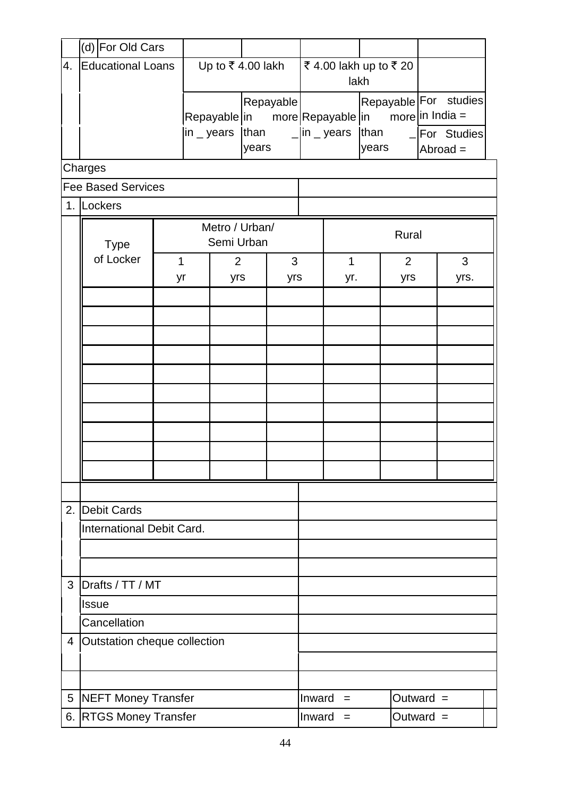|    | (d) For Old Cars             |                              |                                                                           |     |                      |                              |                        |                                              |                |            |                 |      |  |
|----|------------------------------|------------------------------|---------------------------------------------------------------------------|-----|----------------------|------------------------------|------------------------|----------------------------------------------|----------------|------------|-----------------|------|--|
| 4. | <b>Educational Loans</b>     |                              | Up to $\overline{\xi}$ 4.00 lakh                                          |     | ₹4.00 lakh up to ₹20 |                              |                        |                                              |                |            |                 |      |  |
|    |                              |                              |                                                                           |     |                      | lakh                         |                        |                                              |                |            |                 |      |  |
|    |                              |                              | Repayable<br>Repayable in more Repayable in<br>$\mathsf{in}\,$ years than |     |                      |                              |                        | Repayable For studies<br>more $ $ in India = |                |            |                 |      |  |
|    |                              |                              |                                                                           |     |                      |                              | $\Box$ in $\Box$ years |                                              | than           |            | $-$ For Studies |      |  |
|    |                              |                              | years                                                                     |     |                      |                              |                        | years                                        |                | $Abroad =$ |                 |      |  |
|    | Charges                      |                              |                                                                           |     |                      |                              |                        |                                              |                |            |                 |      |  |
|    | <b>Fee Based Services</b>    |                              |                                                                           |     |                      |                              |                        |                                              |                |            |                 |      |  |
|    | 1. Lockers                   |                              |                                                                           |     |                      |                              |                        |                                              |                |            |                 |      |  |
|    | <b>Type</b>                  | Metro / Urban/<br>Semi Urban |                                                                           |     |                      |                              | Rural                  |                                              |                |            |                 |      |  |
|    | of Locker                    | $\mathbf 1$                  | $\overline{2}$                                                            |     |                      | 3                            |                        | $\mathbf{1}$                                 | $\overline{2}$ |            |                 | 3    |  |
|    |                              | yr                           |                                                                           | yrs |                      | yrs                          |                        | yr.                                          |                | yrs        |                 | yrs. |  |
|    |                              |                              |                                                                           |     |                      |                              |                        |                                              |                |            |                 |      |  |
|    |                              |                              |                                                                           |     |                      |                              |                        |                                              |                |            |                 |      |  |
|    |                              |                              |                                                                           |     |                      |                              |                        |                                              |                |            |                 |      |  |
|    |                              |                              |                                                                           |     |                      |                              |                        |                                              |                |            |                 |      |  |
|    |                              |                              |                                                                           |     |                      |                              |                        |                                              |                |            |                 |      |  |
|    |                              |                              |                                                                           |     |                      |                              |                        |                                              |                |            |                 |      |  |
|    |                              |                              |                                                                           |     |                      |                              |                        |                                              |                |            |                 |      |  |
|    |                              |                              |                                                                           |     |                      |                              |                        |                                              |                |            |                 |      |  |
|    |                              |                              |                                                                           |     |                      |                              |                        |                                              |                |            |                 |      |  |
|    |                              |                              |                                                                           |     |                      |                              |                        |                                              |                |            |                 |      |  |
| 2. | <b>Debit Cards</b>           |                              |                                                                           |     |                      |                              |                        |                                              |                |            |                 |      |  |
|    | International Debit Card.    |                              |                                                                           |     |                      |                              |                        |                                              |                |            |                 |      |  |
|    |                              |                              |                                                                           |     |                      |                              |                        |                                              |                |            |                 |      |  |
|    |                              |                              |                                                                           |     |                      |                              |                        |                                              |                |            |                 |      |  |
| 3  | Drafts / TT / MT             |                              |                                                                           |     |                      |                              |                        |                                              |                |            |                 |      |  |
|    | <b>Issue</b>                 |                              |                                                                           |     |                      |                              |                        |                                              |                |            |                 |      |  |
|    | Cancellation                 |                              |                                                                           |     |                      |                              |                        |                                              |                |            |                 |      |  |
| 4  | Outstation cheque collection |                              |                                                                           |     |                      |                              |                        |                                              |                |            |                 |      |  |
|    |                              |                              |                                                                           |     |                      |                              |                        |                                              |                |            |                 |      |  |
|    |                              |                              |                                                                           |     |                      |                              |                        |                                              |                |            |                 |      |  |
| 5  | NEFT Money Transfer          |                              |                                                                           |     |                      | Inward                       | $=$                    |                                              | Outward $=$    |            |                 |      |  |
|    | 6. RTGS Money Transfer       |                              |                                                                           |     |                      | Inward<br>Outward $=$<br>$=$ |                        |                                              |                |            |                 |      |  |